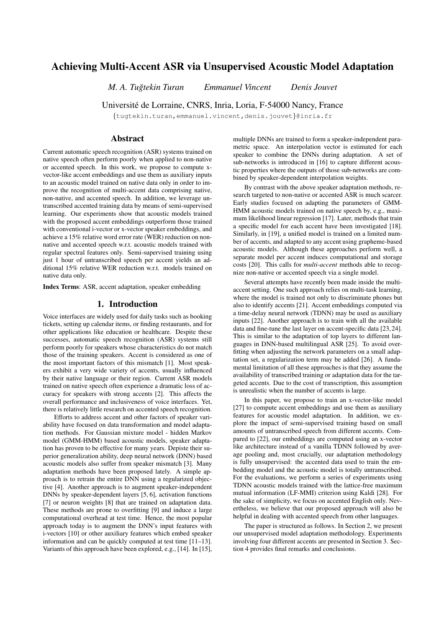# Achieving Multi-Accent ASR via Unsupervised Acoustic Model Adaptation

*M. A. Tugtekin Turan Emmanuel Vincent Denis Jouvet ˘*

Universite de Lorraine, CNRS, Inria, Loria, F-54000 Nancy, France ´

{tugtekin.turan,emmanuel.vincent,denis.jouvet}@inria.fr

# Abstract

Current automatic speech recognition (ASR) systems trained on native speech often perform poorly when applied to non-native or accented speech. In this work, we propose to compute xvector-like accent embeddings and use them as auxiliary inputs to an acoustic model trained on native data only in order to improve the recognition of multi-accent data comprising native, non-native, and accented speech. In addition, we leverage untranscribed accented training data by means of semi-supervised learning. Our experiments show that acoustic models trained with the proposed accent embeddings outperform those trained with conventional i-vector or x-vector speaker embeddings, and achieve a 15% relative word error rate (WER) reduction on nonnative and accented speech w.r.t. acoustic models trained with regular spectral features only. Semi-supervised training using just 1 hour of untranscribed speech per accent yields an additional 15% relative WER reduction w.r.t. models trained on native data only.

Index Terms: ASR, accent adaptation, speaker embedding

## 1. Introduction

Voice interfaces are widely used for daily tasks such as booking tickets, setting up calendar items, or finding restaurants, and for other applications like education or healthcare. Despite these successes, automatic speech recognition (ASR) systems still perform poorly for speakers whose characteristics do not match those of the training speakers. Accent is considered as one of the most important factors of this mismatch [1]. Most speakers exhibit a very wide variety of accents, usually influenced by their native language or their region. Current ASR models trained on native speech often experience a dramatic loss of accuracy for speakers with strong accents [2]. This affects the overall performance and inclusiveness of voice interfaces. Yet, there is relatively little research on accented speech recognition.

Efforts to address accent and other factors of speaker variability have focused on data transformation and model adaptation methods. For Gaussian mixture model - hidden Markov model (GMM-HMM) based acoustic models, speaker adaptation has proven to be effective for many years. Depiste their superior generalization ability, deep neural network (DNN) based acoustic models also suffer from speaker mismatch [3]. Many adaptation methods have been proposed lately. A simple approach is to retrain the entire DNN using a regularized objective [4]. Another approach is to augment speaker-independent DNNs by speaker-dependent layers [5, 6], activation functions [7] or neuron weights [8] that are trained on adaptation data. These methods are prone to overfitting [9] and induce a large computational overhead at test time. Hence, the most popular approach today is to augment the DNN's input features with i-vectors [10] or other auxiliary features which embed speaker information and can be quickly computed at test time [11–13]. Variants of this approach have been explored, e.g., [14]. In [15], multiple DNNs are trained to form a speaker-independent parametric space. An interpolation vector is estimated for each speaker to combine the DNNs during adaptation. A set of sub-networks is introduced in [16] to capture different acoustic properties where the outputs of those sub-networks are combined by speaker-dependent interpolation weights.

By contrast with the above speaker adaptation methods, research targeted to non-native or accented ASR is much scarcer. Early studies focused on adapting the parameters of GMM-HMM acoustic models trained on native speech by, e.g., maximum likelihood linear regression [17]. Later, methods that train a specific model for each accent have been investigated [18]. Similarly, in [19], a unified model is trained on a limited number of accents, and adapted to any accent using grapheme-based acoustic models. Although these approaches perform well, a separate model per accent induces computational and storage costs [20]. This calls for *multi-accent* methods able to recognize non-native or accented speech via a single model.

Several attempts have recently been made inside the multiaccent setting. One such approach relies on multi-task learning, where the model is trained not only to discriminate phones but also to identify accents [21]. Accent embeddings computed via a time-delay neural network (TDNN) may be used as auxiliary inputs [22]. Another approach is to train with all the available data and fine-tune the last layer on accent-specific data [23, 24]. This is similar to the adaptation of top layers to different languages in DNN-based multilingual ASR [25]. To avoid overfitting when adjusting the network parameters on a small adaptation set, a regularization term may be added [26]. A fundamental limitation of all these approaches is that they assume the availability of transcribed training or adaptation data for the targeted accents. Due to the cost of transcription, this assumption is unrealistic when the number of accents is large.

In this paper, we propose to train an x-vector-like model [27] to compute accent embeddings and use them as auxiliary features for acoustic model adaptation. In addition, we explore the impact of semi-supervised training based on small amounts of untranscribed speech from different accents. Compared to [22], our embeddings are computed using an x-vector like architecture instead of a vanilla TDNN followed by average pooling and, most crucially, our adaptation methodology is fully unsupervised: the accented data used to train the embedding model and the acoustic model is totally untranscribed. For the evaluations, we perform a series of experiments using TDNN acoustic models trained with the lattice-free maximum mutual information (LF-MMI) criterion using Kaldi [28]. For the sake of simplicity, we focus on accented English only. Nevertheless, we believe that our proposed approach will also be helpful in dealing with accented speech from other languages.

The paper is structured as follows. In Section 2, we present our unsupervised model adaptation methodology. Experiments involving four different accents are presented in Section 3. Section 4 provides final remarks and conclusions.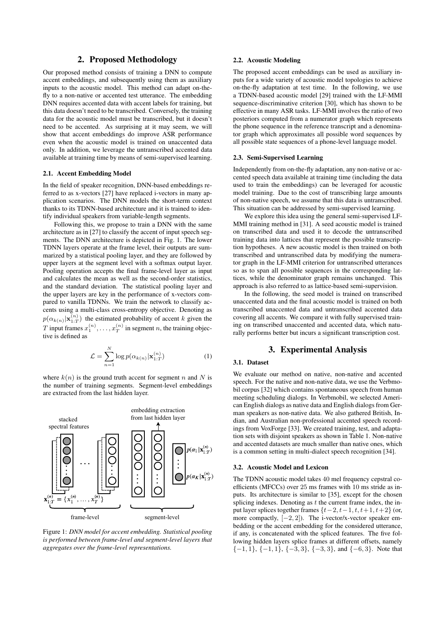# 2. Proposed Methodology

Our proposed method consists of training a DNN to compute accent embeddings, and subsequently using them as auxiliary inputs to the acoustic model. This method can adapt on-thefly to a non-native or accented test utterance. The embedding DNN requires accented data with accent labels for training, but this data doesn't need to be transcribed. Conversely, the training data for the acoustic model must be transcribed, but it doesn't need to be accented. As surprising at it may seem, we will show that accent embeddings do improve ASR performance even when the acoustic model is trained on unaccented data only. In addition, we leverage the untranscribed accented data available at training time by means of semi-supervised learning.

#### 2.1. Accent Embedding Model

In the field of speaker recognition, DNN-based embeddings referred to as x-vectors [27] have replaced i-vectors in many application scenarios. The DNN models the short-term context thanks to its TDNN-based architecture and it is trained to identify individual speakers from variable-length segments.

Following this, we propose to train a DNN with the same architecture as in [27] to classify the accent of input speech segments. The DNN architecture is depicted in Fig. 1. The lower TDNN layers operate at the frame level, their outputs are summarized by a statistical pooling layer, and they are followed by upper layers at the segment level with a softmax output layer. Pooling operation accepts the final frame-level layer as input and calculates the mean as well as the second-order statistics, and the standard deviation. The statistical pooling layer and the upper layers are key in the performance of x-vectors compared to vanilla TDNNs. We train the network to classify accents using a multi-class cross-entropy objective. Denoting as  $p(\alpha_{k(n)}|\mathbf{x}_{1:T}^{(n)})$  the estimated probability of accent k given the T input frames  $x_1^{(n)}, \ldots, x_T^{(n)}$  in segment n, the training objective is defined as

$$
\mathcal{L} = \sum_{n=1}^{N} \log p(\alpha_{k(n)} | \mathbf{x}_{1:T}^{(n)})
$$
(1)

where  $k(n)$  is the ground truth accent for segment n and N is the number of training segments. Segment-level embeddings are extracted from the last hidden layer.



Figure 1: *DNN model for accent embedding. Statistical pooling is performed between frame-level and segment-level layers that aggregates over the frame-level representations.*

# 2.2. Acoustic Modeling

The proposed accent embeddings can be used as auxiliary inputs for a wide variety of acoustic model topologies to achieve on-the-fly adaptation at test time. In the following, we use a TDNN-based acoustic model [29] trained with the LF-MMI sequence-discriminative criterion [30], which has shown to be effective in many ASR tasks. LF-MMI involves the ratio of two posteriors computed from a numerator graph which represents the phone sequence in the reference transcript and a denominator graph which approximates all possible word sequences by all possible state sequences of a phone-level language model.

#### 2.3. Semi-Supervised Learning

Independently from on-the-fly adaptation, any non-native or accented speech data available at training time (including the data used to train the embeddings) can be leveraged for acoustic model training. Due to the cost of transcribing large amounts of non-native speech, we assume that this data is untranscribed. This situation can be addressed by semi-supervised learning.

We explore this idea using the general semi-supervised LF-MMI training method in [31]. A seed acoustic model is trained on transcribed data and used it to decode the untranscribed training data into lattices that represent the possible transcription hypotheses. A new acoustic model is then trained on both transcribed and untranscribed data by modifying the numerator graph in the LF-MMI criterion for untranscribed utterances so as to span all possible sequences in the corresponding lattices, while the denominator graph remains unchanged. This approach is also referred to as lattice-based semi-supervision.

In the following, the seed model is trained on transcribed unaccented data and the final acoustic model is trained on both transcribed unaccented data and untranscribed accented data covering all accents. We compare it with fully supervised training on transcribed unaccented and accented data, which naturally performs better but incurs a significant transcription cost.

# 3. Experimental Analysis

## 3.1. Dataset

We evaluate our method on native, non-native and accented speech. For the native and non-native data, we use the Verbmobil corpus [32] which contains spontaneous speech from human meeting scheduling dialogs. In Verbmobil, we selected American English dialogs as native data and English dialogs from German speakers as non-native data. We also gathered British, Indian, and Australian non-professional accented speech recordings from VoxForge [33]. We created training, test, and adaptation sets with disjoint speakers as shown in Table 1. Non-native and accented datasets are much smaller than native ones, which is a common setting in multi-dialect speech recognition [34].

#### 3.2. Acoustic Model and Lexicon

The TDNN acoustic model takes 40 mel frequency cepstral coefficients (MFCCs) over 25 ms frames with 10 ms stride as inputs. Its architecture is similar to [35], except for the chosen splicing indexes. Denoting as  $t$  the current frame index, the input layer splices together frames  $\{t-2, t-1, t, t+1, t+2\}$  (or, more compactly,  $[-2, 2]$ ). The i-vector/x-vector speaker embedding or the accent embedding for the considered utterance, if any, is concatenated with the spliced features. The five following hidden layers splice frames at different offsets, namely  ${-1, 1}, {-1, 1}, {-3, 3}, {-3, 3},$  and  ${-6, 3}$ . Note that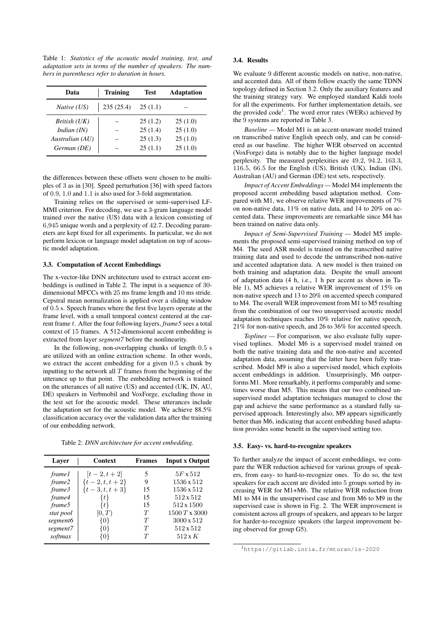Table 1: *Statistics of the acoustic model training, test, and adaptation sets in terms of the number of speakers. The numbers in parentheses refer to duration in hours.*

| Data               | <b>Training</b> | <b>Test</b> | <b>Adaptation</b> |  |
|--------------------|-----------------|-------------|-------------------|--|
| <i>Native</i> (US) | 235 (25.4)      | 25(1.1)     |                   |  |
| British (UK)       |                 | 25(1.2)     | 25(1.0)           |  |
| Indian $(IN)$      |                 | 25(1.4)     | 25(1.0)           |  |
| Australian (AU)    |                 | 25(1.3)     | 25(1.0)           |  |
| German (DE)        |                 | 25(1.1)     | 25(1.0)           |  |

the differences between these offsets were chosen to be multiples of 3 as in [30]. Speed perturbation [36] with speed factors of 0.9, 1.0 and 1.1 is also used for 3-fold augmentation.

Training relies on the supervised or semi-supervised LF-MMI criterion. For decoding, we use a 3-gram language model trained over the native (US) data with a lexicon consisting of 6,945 unique words and a perplexity of 42.7. Decoding parameters are kept fixed for all experiments. In particular, we do not perform lexicon or language model adaptation on top of acoustic model adaptation.

# 3.3. Computation of Accent Embeddings

The x-vector-like DNN architecture used to extract accent embeddings is outlined in Table 2. The input is a sequence of 30 dimensional MFCCs with 25 ms frame length and 10 ms stride. Cepstral mean normalization is applied over a sliding window of 0.5 s. Speech frames where the first five layers operate at the frame level, with a small temporal context centered at the current frame t. After the four following layers, *frame5* sees a total context of 15 frames. A 512-dimensional accent embedding is extracted from layer *segment7* before the nonlinearity.

In the following, non-overlapping chunks of length 0.5 s are utilized with an online extraction scheme. In other words, we extract the accent embedding for a given 0.5 s chunk by inputting to the network all  $T$  frames from the beginning of the utterance up to that point. The embedding network is trained on the utterances of all native (US) and accented (UK, IN, AU, DE) speakers in Verbmobil and VoxForge, excluding those in the test set for the acoustic model. These utterances include the adaptation set for the acoustic model. We achieve 88.5% classification accuracy over the validation data after the training of our embedding network.

Table 2: *DNN architecture for accent embedding.*

| Layer         | <b>Context</b>    | <b>Frames</b> | <b>Input x Output</b> |  |
|---------------|-------------------|---------------|-----------------------|--|
| <i>frame1</i> | $[t-2, t+2]$      | 5             | $5F \times 512$       |  |
| frame2        | $\{t-2, t, t+2\}$ | 9             | 1536 x 512            |  |
| frame3        | $\{t-3, t, t+3\}$ | 15            | 1536 x 512            |  |
| frame4        | $\{t\}$           | 15            | 512x512               |  |
| frame5        | $\{t\}$           | 15            | 512 x 1500            |  |
| stat pool     | [0,T)             | T             | 1500 T x 3000         |  |
| segment6      | {0}               | T             | 3000 x 512            |  |
| segment7      | 10}               | T             | 512 x 512             |  |
| softmax       | 10 F              | T             | $512 \times K$        |  |

#### 3.4. Results

We evaluate 9 different acoustic models on native, non-native, and accented data. All of them follow exactly the same TDNN topology defined in Section 3.2. Only the auxiliary features and the training strategy vary. We employed standard Kaldi tools for all the experiments. For further implementation details, see the provided code<sup>1</sup>. The word error rates (WERs) achieved by the 9 systems are reported in Table 3.

*Baseline —* Model M1 is an accent-unaware model trained on transcribed native English speech only, and can be considered as our baseline. The higher WER observed on accented (VoxForge) data is notably due to the higher language model perplexity. The measured perplexities are 49.2, 94.2, 163.3, 116.5, 66.5 for the English (US), British (UK), Indian (IN), Australian (AU) and German (DE) test sets, respectively.

*Impact of Accent Embeddings —* Model M4 implements the proposed accent embedding based adaptation method. Compared with M1, we observe relative WER improvements of 7% on non-native data, 11% on native data, and 14 to 20% on accented data. These improvements are remarkable since M4 has been trained on native data only.

*Impact of Semi-Supervised Training —* Model M5 implements the proposed semi-supervised training method on top of M4. The seed ASR model is trained on the transcribed native training data and used to decode the untranscribed non-native and accented adaptation data. A new model is then trained on both training and adaptation data. Despite the small amount of adaptation data (4 h, i.e., 1 h per accent as shown in Table 1), M5 achieves a relative WER improvement of 15% on non-native speech and 13 to 20% on accented speech compared to M4. The overall WER improvement from M1 to M5 resulting from the combination of our two unsupervised acoustic model adaptation techniques reaches 10% relative for native speech, 21% for non-native speech, and 26 to 36% for accented speech.

*Toplines —* For comparison, we also evaluate fully supervised toplines. Model M6 is a supervised model trained on both the native training data and the non-native and accented adaptation data, assuming that the latter have been fully transcribed. Model M9 is also a supervised model, which exploits accent embeddings in addition. Unsurprisingly, M6 outperforms M1. More remarkably, it performs comparably and sometimes worse than M5. This means that our two combined unsupervised model adaptation techniques managed to close the gap and achieve the same performance as a standard fully supervised approach. Interestingly also, M9 appears significantly better than M6, indicating that accent embedding based adaptation provides some benefit in the supervised setting too.

#### 3.5. Easy- vs. hard-to-recognize speakers

To further analyze the impact of accent embeddings, we compare the WER reduction achieved for various groups of speakers, from easy- to hard-to-recognize ones. To do so, the test speakers for each accent are divided into 5 groups sorted by increasing WER for M1+M6. The relative WER reduction from M1 to M4 in the unsupervised case and from M6 to M9 in the supervised case is shown in Fig. 2. The WER improvement is consistent across all groups of speakers, and appears to be larger for harder-to-recognize speakers (the largest improvement being observed for group G5).

<sup>1</sup>https://gitlab.inria.fr/mturan/is-2020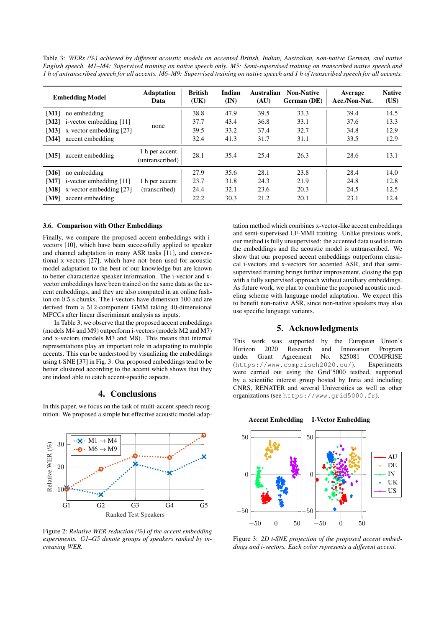Table 3: *WERs (%) achieved by different acoustic models on accented British, Indian, Australian, non-native German, and native English speech. M1–M4: Supervised training on native speech only. M5: Semi-supervised training on transcribed native speech and 1 h of untranscribed speech for all accents. M6–M9: Supervised training on native speech and 1 h of transcribed speech for all accents.*

|             | <b>Embedding Model</b>  | <b>Adaptation</b><br>Data         | <b>British</b><br>(UK) | Indian<br>$(\mathbf{IN})$ | <b>Australian</b><br>(AU) | <b>Non-Native</b><br>German (DE) | Average<br>Acc./Non-Nat. | <b>Native</b><br>(US) |
|-------------|-------------------------|-----------------------------------|------------------------|---------------------------|---------------------------|----------------------------------|--------------------------|-----------------------|
| [M1]        | no embedding            |                                   | 38.8                   | 47.9                      | 39.5                      | 33.3                             | 39.4                     | 14.5                  |
| [M2]        | i-vector embedding [11] | none                              | 37.7                   | 43.4                      | 36.8                      | 33.1                             | 37.6                     | 13.3                  |
| [M3]        | x-vector embedding [27] |                                   | 39.5                   | 33.2                      | 37.4                      | 32.7                             | 34.8                     | 12.9                  |
| [M4]        | accent embedding        |                                   | 32.4                   | 41.3                      | 31.7                      | 31.1                             | 33.5                     | 12.9                  |
| [M5]        | accent embedding        | 1 h per accent<br>(untranscribed) | 28.1                   | 35.4                      | 25.4                      | 26.3                             | 28.6                     | 13.1                  |
| [M6]        | no embedding            |                                   | 27.9                   | 35.6                      | 28.1                      | 23.8                             | 28.4                     | 14.0                  |
| <b>IM71</b> | i-vector embedding [11] | 1 h per accent                    | 23.7                   | 31.8                      | 24.3                      | 21.9                             | 24.8                     | 12.8                  |
| [M8]        | x-vector embedding [27] | (transcribed)                     | 24.4                   | 32.1                      | 23.6                      | 20.3                             | 24.5                     | 12.5                  |
| <b>[M9]</b> | accent embedding        |                                   | 22.2                   | 30.3                      | 21.2                      | 20.1                             | 23.1                     | 12.4                  |

#### 3.6. Comparison with Other Embeddings

Finally, we compare the proposed accent embeddings with ivectors [10], which have been successfully applied to speaker and channel adaptation in many ASR tasks [11], and conventional x-vectors [27], which have not been used for acoustic model adaptation to the best of our knowledge but are known to better characterize speaker information. The i-vector and xvector embeddings have been trained on the same data as the accent embeddings, and they are also computed in an online fashion on 0.5 s chunks. The i-vectors have dimension 100 and are derived from a 512-component GMM taking 40-dimensional MFCCs after linear discriminant analysis as inputs.

In Table 3, we observe that the proposed accent embeddings (models M4 and M9) outperform i-vectors (models M2 and M7) and x-vectors (models M3 and M8). This means that internal representations play an important role in adaptating to multiple accents. This can be understood by visualizing the embeddings using t-SNE [37] in Fig. 3. Our proposed embeddings tend to be better clustered according to the accent which shows that they are indeed able to catch accent-specific aspects.

## 4. Conclusions

In this paper, we focus on the task of multi-accent speech recognition. We proposed a simple but effective acoustic model adap-



Figure 2: *Relative WER reduction (%) of the accent embedding experiments. G1–G5 denote groups of speakers ranked by increasing WER.*

tation method which combines x-vector-like accent embeddings and semi-supervised LF-MMI training. Unlike previous work, our method is fully unsupervised: the accented data used to train the embeddings and the acoustic model is untranscribed. We show that our proposed accent embeddings outperform classical i-vectors and x-vectors for accented ASR, and that semisupervised training brings further improvement, closing the gap with a fully supervised approach without auxiliary embeddings. As future work, we plan to combine the proposed acoustic modeling scheme with language model adaptation. We expect this to benefit non-native ASR, since non-native speakers may also use specific language variants.

# 5. Acknowledgments

This work was supported by the European Union's<br>Horizon 2020 Research and Innovation Program Horizon 2020 Research and Innovation Program under Grant Agreement No. 825081 COMPRISE (https://www.compriseh2020.eu/). Experiments were carried out using the Grid'5000 testbed, supported by a scientific interest group hosted by Inria and including CNRS, RENATER and several Universities as well as other organizations (see https://www.grid5000.fr).



Figure 3: *2D t-SNE projection of the proposed accent embeddings and i-vectors. Each color represents a different accent.*